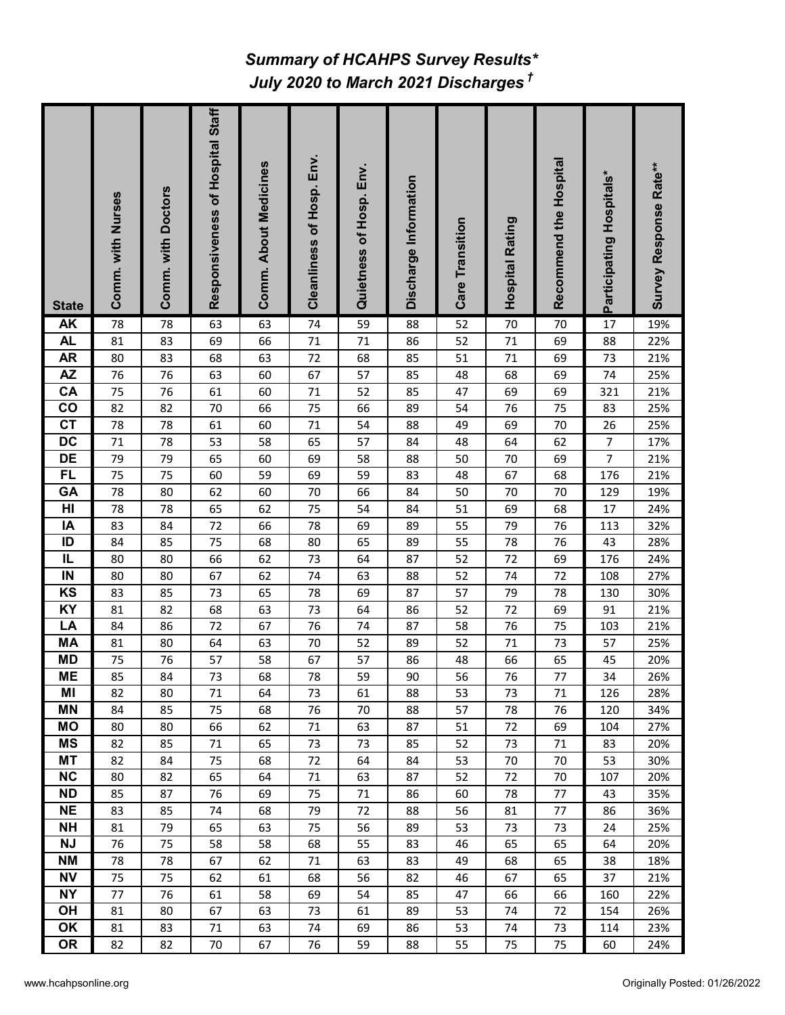## *July 2020 to March 2021 Discharges † Summary of HCAHPS Survey Results\**

| <b>State</b>           | Comm. with Nurses | Comm. with Doctors | Responsiveness of Hospital Staff | Comm. About Medicines | Cleanliness of Hosp. Env. | Quietness of Hosp. Env. | Discharge Information | <b>Care Transition</b> | <b>Hospital Rating</b> | Recommend the Hospital | Participating Hospitals* | Survey Response Rate** |
|------------------------|-------------------|--------------------|----------------------------------|-----------------------|---------------------------|-------------------------|-----------------------|------------------------|------------------------|------------------------|--------------------------|------------------------|
| <b>AK</b>              | 78                | 78                 | 63                               | 63                    | 74                        | 59                      | 88                    | 52                     | 70                     | 70                     | 17                       | 19%                    |
| <b>AL</b>              | 81                | 83                 | 69                               | 66                    | 71                        | 71                      | 86                    | 52                     | 71                     | 69                     | 88                       | 22%                    |
| <b>AR</b>              | 80                | 83                 | 68                               | 63                    | 72                        | 68                      | 85                    | 51                     | 71                     | 69                     | 73                       | 21%                    |
| <b>AZ</b>              | 76                | 76                 | 63                               | 60                    | 67                        | 57                      | 85                    | 48                     | 68                     | 69                     | 74                       | 25%                    |
| CA                     | 75                | 76                 | 61                               | 60                    | $71\,$                    | 52                      | 85                    | 47                     | 69                     | 69                     | 321                      | 21%                    |
| co                     | 82                | 82                 | 70                               | 66                    | 75                        | 66                      | 89                    | 54                     | 76                     | 75                     | 83                       | 25%                    |
| $\overline{c}$         | 78                | 78                 | 61                               | 60                    | 71                        | 54                      | 88                    | 49                     | 69                     | 70                     | 26                       | 25%                    |
| $\overline{DC}$        | 71                | 78                 | 53                               | 58                    | 65                        | 57                      | 84                    | 48                     | 64                     | 62                     | $\boldsymbol{7}$         | 17%                    |
| <b>DE</b>              | 79                | 79                 | 65                               | 60                    | 69                        | 58                      | 88                    | 50                     | 70                     | 69                     | 7                        | 21%                    |
| <b>FL</b>              | 75                | 75                 | 60                               | 59                    | 69                        | 59                      | 83                    | 48                     | 67                     | 68                     | 176                      | 21%                    |
| GA                     | 78                | 80                 | 62                               | 60                    | 70                        | 66                      | 84                    | 50                     | 70                     | 70                     | 129                      | 19%                    |
| HI                     | 78                | 78                 | 65                               | 62                    | 75                        | 54                      | 84                    | 51                     | 69                     | 68                     | 17                       | 24%                    |
| IA                     | 83                | 84                 | 72                               | 66                    | 78                        | 69                      | 89                    | 55                     | 79                     | 76                     | 113                      | 32%                    |
| ID                     | 84                | 85                 | 75                               | 68                    | 80                        | 65                      | 89                    | 55                     | 78                     | 76                     | 43                       | 28%                    |
| IL                     | 80                | 80                 | 66                               | 62                    | 73                        | 64                      | 87                    | 52                     | 72                     | 69                     | 176                      | 24%                    |
| IN                     | 80                | 80                 | 67                               | 62                    | 74                        | 63                      | 88                    | 52                     | 74                     | 72                     | 108                      | 27%                    |
| K <sub>S</sub>         | 83                | 85                 | 73                               | 65                    | 78                        | 69                      | 87                    | 57                     | 79                     | 78                     | 130                      | 30%                    |
| <b>KY</b>              | 81                | 82                 | 68                               | 63                    | 73                        | 64                      | 86                    | 52                     | 72                     | 69                     | 91                       | 21%                    |
| $L\overline{A}$        | 84                | 86                 | 72                               | 67                    | 76                        | 74                      | 87                    | 58                     | 76                     | 75                     | 103                      | 21%                    |
| <b>MA</b>              | 81                | 80                 | 64                               | 63                    | 70                        | 52                      | 89                    | 52                     | 71                     | 73                     | 57                       | 25%                    |
| <b>MD</b>              | 75                | 76                 | 57                               | 58                    | 67                        | 57                      | 86                    | 48                     | 66                     | 65                     | 45                       | 20%                    |
| <b>ME</b>              | 85                | 84                 | 73                               | 68                    | 78                        | 59                      | 90                    | 56                     | 76                     | 77                     | 34                       | 26%                    |
| MI                     | 82                | 80                 | 71                               | 64                    | 73                        | 61                      | 88                    | 53                     | 73                     | 71                     | 126                      | 28%                    |
| ΜN                     | 84                | 85                 | 75                               | 68                    | 76                        | 70                      | 88                    | 57                     | 78                     | 76                     | 120                      | 34%                    |
| <b>MO</b>              | 80                | 80                 | 66                               | 62                    | 71                        | 63                      | 87                    | 51                     | 72                     | 69                     | 104                      | 27%                    |
| <b>MS</b>              | 82                | 85                 | 71                               | 65                    | 73                        | 73                      | 85                    | 52                     | 73                     | 71                     | 83                       | 20%                    |
| <b>MT</b>              | 82                | 84                 | 75                               | 68                    | 72                        | 64                      | 84                    | 53                     | 70                     | 70                     | 53                       | 30%                    |
| NC                     | 80                | 82                 | 65                               | 64                    | 71                        | 63                      | 87                    | 52                     | 72                     | 70                     | 107                      | 20%                    |
| <b>ND</b>              | 85                | 87                 | 76                               | 69                    | 75                        | 71                      | 86                    | 60                     | 78                     | 77                     | 43                       | 35%                    |
| <b>NE</b>              | 83                | 85                 | 74                               | 68                    | 79                        | 72                      | 88                    | 56                     | 81                     | 77                     | 86                       | 36%                    |
| <b>NH</b>              | 81                | 79                 | 65                               | 63                    | 75                        | 56                      | 89                    | 53                     | 73                     | 73                     | 24                       | 25%                    |
| <b>NJ</b><br><b>NM</b> | 76                | 75                 | 58                               | 58                    | 68                        | 55                      | 83                    | 46                     | 65                     | 65                     | 64                       | 20%                    |
| <b>NV</b>              | 78                | 78                 | 67                               | 62                    | $71\,$                    | 63                      | 83                    | 49                     | 68                     | 65                     | 38                       | 18%                    |
| <b>NY</b>              | 75                | 75                 | 62                               | 61<br>58              | 68                        | 56                      | 82                    | 46                     | 67                     | 65                     | 37                       | 21%                    |
| OH                     | 77                | 76                 | 61                               |                       | 69                        | 54                      | 85                    | 47                     | 66                     | 66                     | 160                      | 22%                    |
| OK                     | 81<br>81          | 80                 | 67                               | 63<br>63              | 73<br>74                  | 61<br>69                | 89                    | 53<br>53               | 74<br>74               | 72                     | 154                      | 26%<br>23%             |
| <b>OR</b>              | 82                | 83<br>82           | 71<br>70                         | 67                    | 76                        | 59                      | 86<br>88              | 55                     | 75                     | 73<br>75               | 114<br>60                | 24%                    |
|                        |                   |                    |                                  |                       |                           |                         |                       |                        |                        |                        |                          |                        |